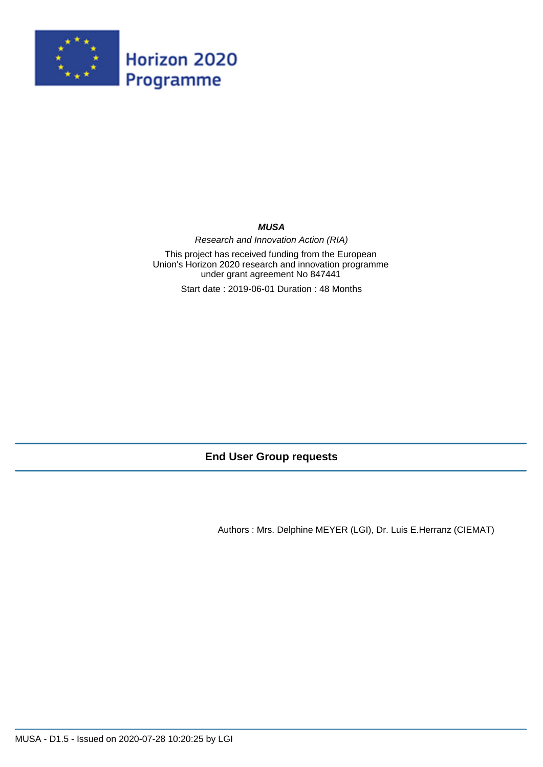

#### **MUSA**

Research and Innovation Action (RIA)

This project has received funding from the European Union's Horizon 2020 research and innovation programme under grant agreement No 847441

Start date : 2019-06-01 Duration : 48 Months

# **End User Group requests**

Authors : Mrs. Delphine MEYER (LGI), Dr. Luis E.Herranz (CIEMAT)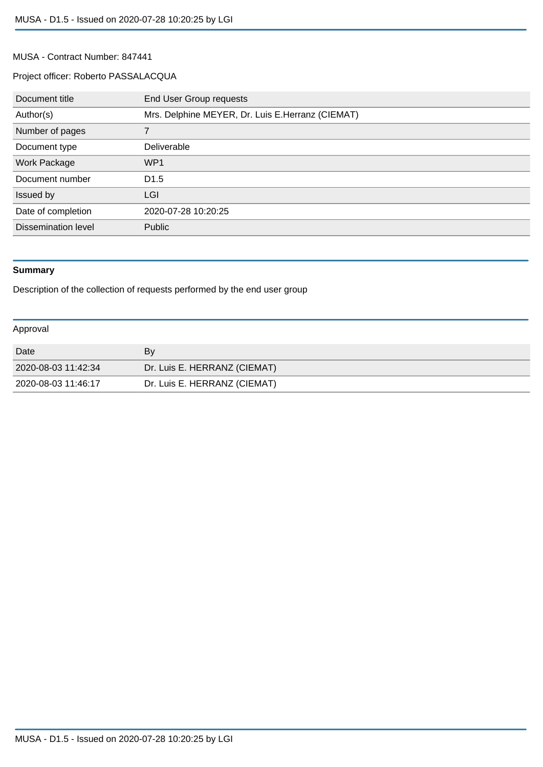#### MUSA - Contract Number: 847441

## Project officer: Roberto PASSALACQUA

| Document title             | End User Group requests                          |
|----------------------------|--------------------------------------------------|
| Author(s)                  | Mrs. Delphine MEYER, Dr. Luis E.Herranz (CIEMAT) |
| Number of pages            |                                                  |
| Document type              | Deliverable                                      |
| Work Package               | WP1                                              |
| Document number            | D <sub>1.5</sub>                                 |
| Issued by                  | LGI                                              |
| Date of completion         | 2020-07-28 10:20:25                              |
| <b>Dissemination level</b> | Public                                           |

# **Summary**

Description of the collection of requests performed by the end user group

#### Approval

| Date                | Bv                           |
|---------------------|------------------------------|
| 2020-08-03 11:42:34 | Dr. Luis E. HERRANZ (CIEMAT) |
| 2020-08-03 11:46:17 | Dr. Luis E. HERRANZ (CIEMAT) |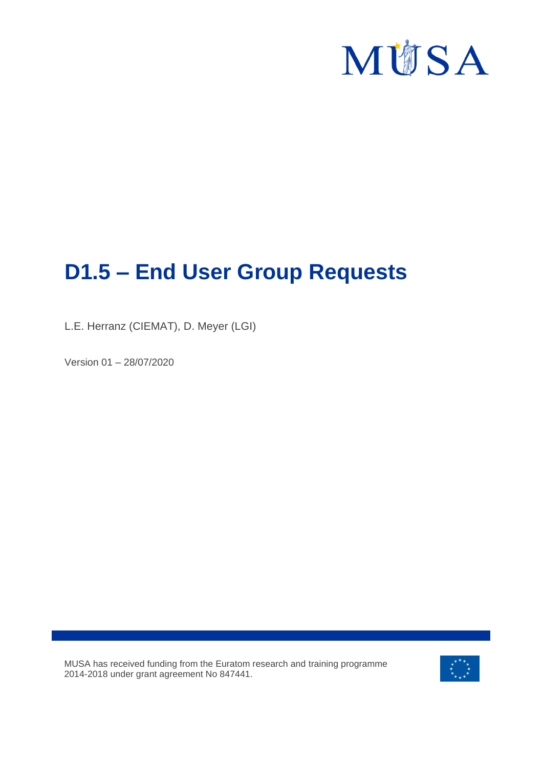

# **D1.5 – End User Group Requests**

L.E. Herranz (CIEMAT), D. Meyer (LGI)

Version 01 – 28/07/2020

MUSA has received funding from the Euratom research and training programme 2014-2018 under grant agreement No 847441.

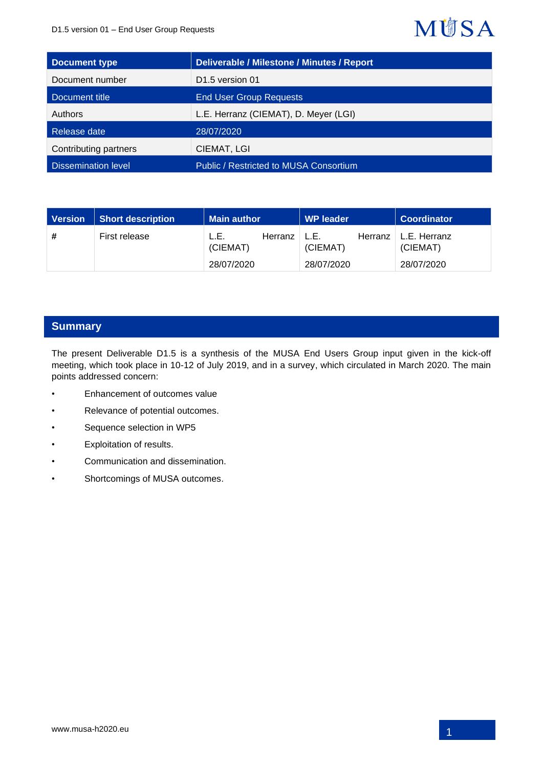#### D1.5 version 01 – End User Group Requests

# **MÜSA**

| Document type              | <b>Deliverable / Milestone / Minutes / Report</b> |
|----------------------------|---------------------------------------------------|
| Document number            | D <sub>1.5</sub> version 01                       |
| Document title             | <b>End User Group Requests</b>                    |
| Authors                    | L.E. Herranz (CIEMAT), D. Meyer (LGI)             |
| Release date               | 28/07/2020                                        |
| Contributing partners      | CIEMAT, LGI                                       |
| <b>Dissemination level</b> | Public / Restricted to MUSA Consortium            |

| Version | <b>Short description</b> | <b>Main author</b> |         | <b>WP leader</b> |         | <b>Coordinator</b>       |
|---------|--------------------------|--------------------|---------|------------------|---------|--------------------------|
| #       | First release            | L.E.<br>(CIEMAT)   | Herranz | L.E.<br>(CIEMAT) | Herranz | L.E. Herranz<br>(CIEMAT) |
|         |                          | 28/07/2020         |         | 28/07/2020       |         | 28/07/2020               |

# **Summary**

The present Deliverable D1.5 is a synthesis of the MUSA End Users Group input given in the kick-off meeting, which took place in 10-12 of July 2019, and in a survey, which circulated in March 2020. The main points addressed concern:

- Enhancement of outcomes value
- Relevance of potential outcomes.
- Sequence selection in WP5
- Exploitation of results.
- Communication and dissemination.
- Shortcomings of MUSA outcomes.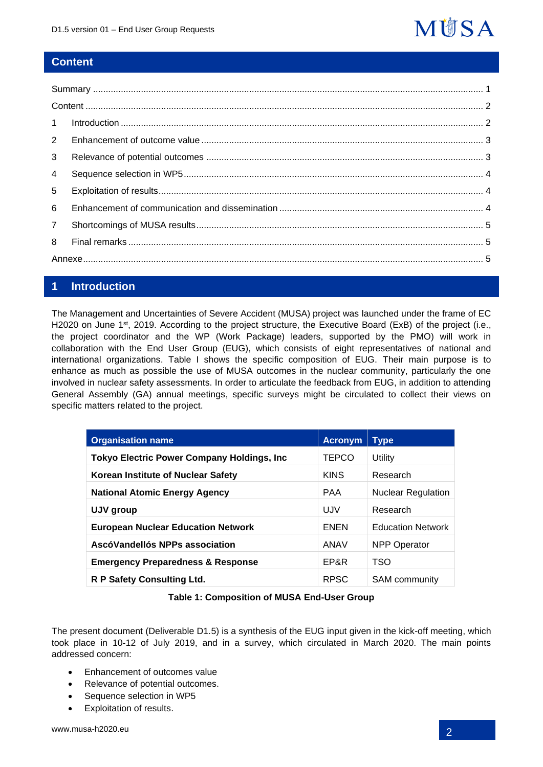

## **Content**

| 1              |  |
|----------------|--|
| $2^{\circ}$    |  |
| 3              |  |
| $\overline{4}$ |  |
| 5              |  |
| 6              |  |
| $\overline{7}$ |  |
| 8              |  |
|                |  |

## **1 Introduction**

The Management and Uncertainties of Severe Accident (MUSA) project was launched under the frame of EC H2020 on June 1<sup>st</sup>, 2019. According to the project structure, the Executive Board (ExB) of the project (i.e., the project coordinator and the WP (Work Package) leaders, supported by the PMO) will work in collaboration with the End User Group (EUG), which consists of eight representatives of national and international organizations. Table I shows the specific composition of EUG. Their main purpose is to enhance as much as possible the use of MUSA outcomes in the nuclear community, particularly the one involved in nuclear safety assessments. In order to articulate the feedback from EUG, in addition to attending General Assembly (GA) annual meetings, specific surveys might be circulated to collect their views on specific matters related to the project.

| <b>Organisation name</b>                     | <b>Acronym</b> | <b>Type</b>               |
|----------------------------------------------|----------------|---------------------------|
| Tokyo Electric Power Company Holdings, Inc   | <b>TEPCO</b>   | Utility                   |
| Korean Institute of Nuclear Safety           | <b>KINS</b>    | Research                  |
| <b>National Atomic Energy Agency</b>         | <b>PAA</b>     | <b>Nuclear Regulation</b> |
| UJV group                                    | UJV            | Research                  |
| <b>European Nuclear Education Network</b>    | <b>ENEN</b>    | <b>Education Network</b>  |
| AscóVandellós NPPs association               | ANAV           | <b>NPP Operator</b>       |
| <b>Emergency Preparedness &amp; Response</b> | EP&R           | TSO                       |
| R P Safety Consulting Ltd.                   | <b>RPSC</b>    | <b>SAM</b> community      |

#### **Table 1: Composition of MUSA End-User Group**

The present document (Deliverable D1.5) is a synthesis of the EUG input given in the kick-off meeting, which took place in 10-12 of July 2019, and in a survey, which circulated in March 2020. The main points addressed concern:

- Enhancement of outcomes value
- Relevance of potential outcomes.
- Sequence selection in WP5
- Exploitation of results.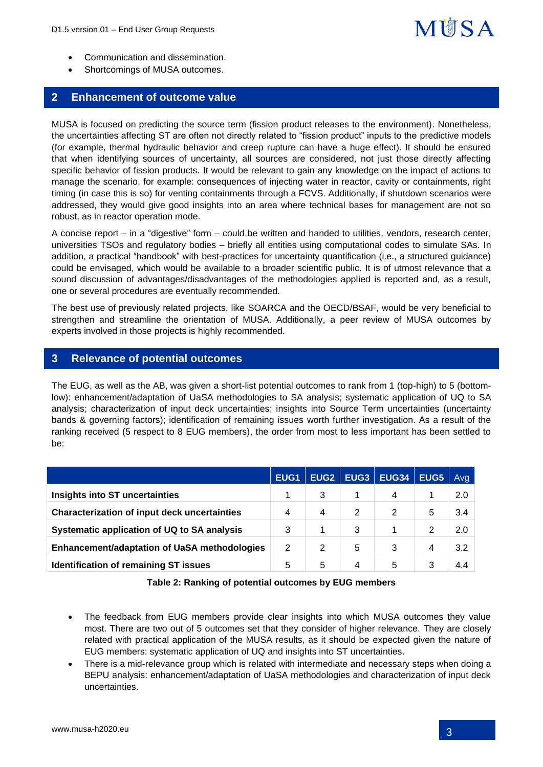# **M谢SA**

- Communication and dissemination.
- Shortcomings of MUSA outcomes.

## **2 Enhancement of outcome value**

MUSA is focused on predicting the source term (fission product releases to the environment). Nonetheless, the uncertainties affecting ST are often not directly related to "fission product" inputs to the predictive models (for example, thermal hydraulic behavior and creep rupture can have a huge effect). It should be ensured that when identifying sources of uncertainty, all sources are considered, not just those directly affecting specific behavior of fission products. It would be relevant to gain any knowledge on the impact of actions to manage the scenario, for example: consequences of injecting water in reactor, cavity or containments, right timing (in case this is so) for venting containments through a FCVS. Additionally, if shutdown scenarios were addressed, they would give good insights into an area where technical bases for management are not so robust, as in reactor operation mode.

A concise report – in a "digestive" form – could be written and handed to utilities, vendors, research center, universities TSOs and regulatory bodies – briefly all entities using computational codes to simulate SAs. In addition, a practical "handbook" with best-practices for uncertainty quantification (i.e., a structured guidance) could be envisaged, which would be available to a broader scientific public. It is of utmost relevance that a sound discussion of advantages/disadvantages of the methodologies applied is reported and, as a result, one or several procedures are eventually recommended.

The best use of previously related projects, like SOARCA and the OECD/BSAF, would be very beneficial to strengthen and streamline the orientation of MUSA. Additionally, a peer review of MUSA outcomes by experts involved in those projects is highly recommended.

## **3 Relevance of potential outcomes**

The EUG, as well as the AB, was given a short-list potential outcomes to rank from 1 (top-high) to 5 (bottomlow): enhancement/adaptation of UaSA methodologies to SA analysis; systematic application of UQ to SA analysis; characterization of input deck uncertainties; insights into Source Term uncertainties (uncertainty bands & governing factors); identification of remaining issues worth further investigation. As a result of the ranking received (5 respect to 8 EUG members), the order from most to less important has been settled to be:

|                                                     | EUG <sub>1</sub> | EUG <sub>2</sub> | EUG <sub>3</sub> | <b>EUG34</b> | EUG5 | Avg |
|-----------------------------------------------------|------------------|------------------|------------------|--------------|------|-----|
| Insights into ST uncertainties                      |                  | 3                |                  | 4            |      | 2.0 |
| <b>Characterization of input deck uncertainties</b> | 4                | 4                | 2                | 2            | 5    | 3.4 |
| Systematic application of UQ to SA analysis         | 3                |                  | 3                |              | 2    | 2.0 |
| <b>Enhancement/adaptation of UaSA methodologies</b> | 2                | 2                | 5                | 3            | 4    | 3.2 |
| Identification of remaining ST issues               | 5                | 5                | 4                | 5            |      | 4.4 |

| Table 2: Ranking of potential outcomes by EUG members |
|-------------------------------------------------------|
|-------------------------------------------------------|

- The feedback from EUG members provide clear insights into which MUSA outcomes they value most. There are two out of 5 outcomes set that they consider of higher relevance. They are closely related with practical application of the MUSA results, as it should be expected given the nature of EUG members: systematic application of UQ and insights into ST uncertainties.
- There is a mid-relevance group which is related with intermediate and necessary steps when doing a BEPU analysis: enhancement/adaptation of UaSA methodologies and characterization of input deck uncertainties.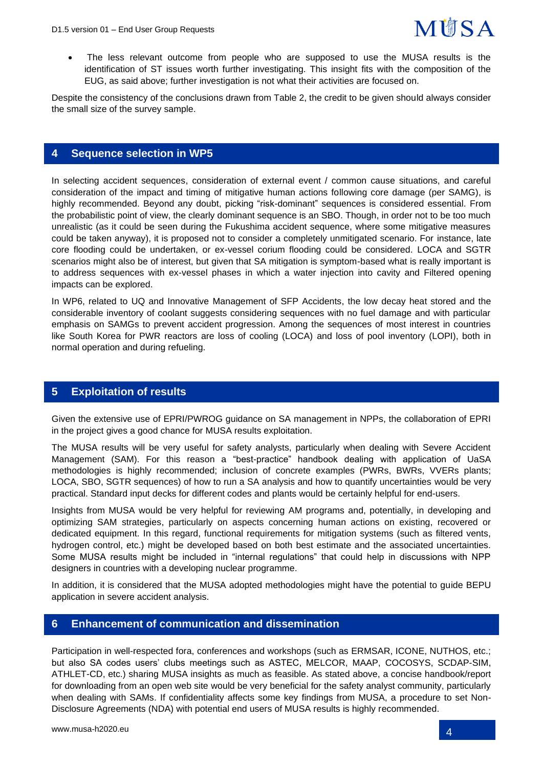

• The less relevant outcome from people who are supposed to use the MUSA results is the identification of ST issues worth further investigating. This insight fits with the composition of the EUG, as said above; further investigation is not what their activities are focused on.

Despite the consistency of the conclusions drawn from Table 2, the credit to be given should always consider the small size of the survey sample.

#### **4 Sequence selection in WP5**

In selecting accident sequences, consideration of external event / common cause situations, and careful consideration of the impact and timing of mitigative human actions following core damage (per SAMG), is highly recommended. Beyond any doubt, picking "risk-dominant" sequences is considered essential. From the probabilistic point of view, the clearly dominant sequence is an SBO. Though, in order not to be too much unrealistic (as it could be seen during the Fukushima accident sequence, where some mitigative measures could be taken anyway), it is proposed not to consider a completely unmitigated scenario. For instance, late core flooding could be undertaken, or ex-vessel corium flooding could be considered. LOCA and SGTR scenarios might also be of interest, but given that SA mitigation is symptom-based what is really important is to address sequences with ex-vessel phases in which a water injection into cavity and Filtered opening impacts can be explored.

In WP6, related to UQ and Innovative Management of SFP Accidents, the low decay heat stored and the considerable inventory of coolant suggests considering sequences with no fuel damage and with particular emphasis on SAMGs to prevent accident progression. Among the sequences of most interest in countries like South Korea for PWR reactors are loss of cooling (LOCA) and loss of pool inventory (LOPI), both in normal operation and during refueling.

#### **5 Exploitation of results**

Given the extensive use of EPRI/PWROG guidance on SA management in NPPs, the collaboration of EPRI in the project gives a good chance for MUSA results exploitation.

The MUSA results will be very useful for safety analysts, particularly when dealing with Severe Accident Management (SAM). For this reason a "best-practice" handbook dealing with application of UaSA methodologies is highly recommended; inclusion of concrete examples (PWRs, BWRs, VVERs plants; LOCA, SBO, SGTR sequences) of how to run a SA analysis and how to quantify uncertainties would be very practical. Standard input decks for different codes and plants would be certainly helpful for end-users.

Insights from MUSA would be very helpful for reviewing AM programs and, potentially, in developing and optimizing SAM strategies, particularly on aspects concerning human actions on existing, recovered or dedicated equipment. In this regard, functional requirements for mitigation systems (such as filtered vents, hydrogen control, etc.) might be developed based on both best estimate and the associated uncertainties. Some MUSA results might be included in "internal regulations" that could help in discussions with NPP designers in countries with a developing nuclear programme.

In addition, it is considered that the MUSA adopted methodologies might have the potential to guide BEPU application in severe accident analysis.

## **6 Enhancement of communication and dissemination**

Participation in well-respected fora, conferences and workshops (such as ERMSAR, ICONE, NUTHOS, etc.; but also SA codes users' clubs meetings such as ASTEC, MELCOR, MAAP, COCOSYS, SCDAP-SIM, ATHLET-CD, etc.) sharing MUSA insights as much as feasible. As stated above, a concise handbook/report for downloading from an open web site would be very beneficial for the safety analyst community, particularly when dealing with SAMs. If confidentiality affects some key findings from MUSA, a procedure to set Non-Disclosure Agreements (NDA) with potential end users of MUSA results is highly recommended.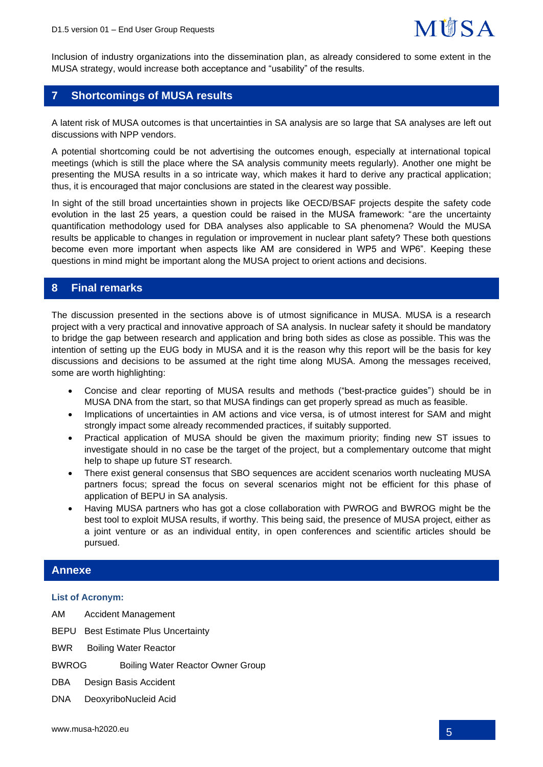Inclusion of industry organizations into the dissemination plan, as already considered to some extent in the MUSA strategy, would increase both acceptance and "usability" of the results.

## **7 Shortcomings of MUSA results**

A latent risk of MUSA outcomes is that uncertainties in SA analysis are so large that SA analyses are left out discussions with NPP vendors.

A potential shortcoming could be not advertising the outcomes enough, especially at international topical meetings (which is still the place where the SA analysis community meets regularly). Another one might be presenting the MUSA results in a so intricate way, which makes it hard to derive any practical application; thus, it is encouraged that major conclusions are stated in the clearest way possible.

In sight of the still broad uncertainties shown in projects like OECD/BSAF projects despite the safety code evolution in the last 25 years, a question could be raised in the MUSA framework: "are the uncertainty quantification methodology used for DBA analyses also applicable to SA phenomena? Would the MUSA results be applicable to changes in regulation or improvement in nuclear plant safety? These both questions become even more important when aspects like AM are considered in WP5 and WP6". Keeping these questions in mind might be important along the MUSA project to orient actions and decisions.

### **8 Final remarks**

The discussion presented in the sections above is of utmost significance in MUSA. MUSA is a research project with a very practical and innovative approach of SA analysis. In nuclear safety it should be mandatory to bridge the gap between research and application and bring both sides as close as possible. This was the intention of setting up the EUG body in MUSA and it is the reason why this report will be the basis for key discussions and decisions to be assumed at the right time along MUSA. Among the messages received, some are worth highlighting:

- Concise and clear reporting of MUSA results and methods ("best-practice guides") should be in MUSA DNA from the start, so that MUSA findings can get properly spread as much as feasible.
- Implications of uncertainties in AM actions and vice versa, is of utmost interest for SAM and might strongly impact some already recommended practices, if suitably supported.
- Practical application of MUSA should be given the maximum priority; finding new ST issues to investigate should in no case be the target of the project, but a complementary outcome that might help to shape up future ST research.
- There exist general consensus that SBO sequences are accident scenarios worth nucleating MUSA partners focus; spread the focus on several scenarios might not be efficient for this phase of application of BEPU in SA analysis.
- Having MUSA partners who has got a close collaboration with PWROG and BWROG might be the best tool to exploit MUSA results, if worthy. This being said, the presence of MUSA project, either as a joint venture or as an individual entity, in open conferences and scientific articles should be pursued.

#### **Annexe**

#### **List of Acronym:**

- AM Accident Management
- BEPU Best Estimate Plus Uncertainty
- BWR Boiling Water Reactor
- BWROG Boiling Water Reactor Owner Group
- DBA Design Basis Accident
- DNA DeoxyriboNucleid Acid